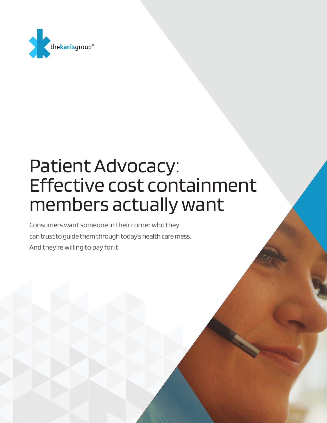

# Patient Advocacy: Effective cost containment members actually want

Consumers want someone in their corner who they can trust to guide them through today's health care mess. And they're willing to pay for it.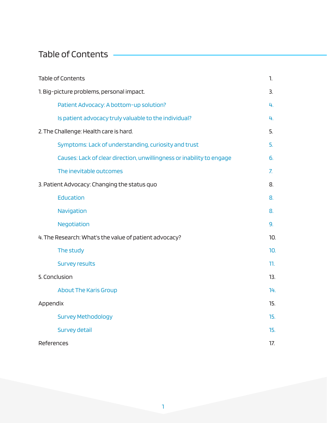## Table of Contents -

| <b>Table of Contents</b>                                              | 1.             |
|-----------------------------------------------------------------------|----------------|
| 1. Big-picture problems, personal impact.                             | 3.             |
| Patient Advocacy: A bottom-up solution?                               | 4.             |
| Is patient advocacy truly valuable to the individual?                 | 4.             |
| 2. The Challenge: Health care is hard.                                | 5.             |
| Symptoms: Lack of understanding, curiosity and trust                  | 5.             |
| Causes: Lack of clear direction, unwillingness or inability to engage | 6.             |
| The inevitable outcomes                                               | 7 <sup>1</sup> |
| 3. Patient Advocacy: Changing the status quo                          | 8.             |
| Education                                                             | 8.             |
| Navigation                                                            | 8.             |
| Negotiation                                                           | 9.             |
| 4. The Research: What's the value of patient advocacy?                | 10.            |
| The study                                                             | 10.            |
| <b>Survey results</b>                                                 | 11.            |
| 5. Conclusion                                                         | 13.            |
| <b>About The Karis Group</b>                                          | 14.            |
| Appendix                                                              | 15.            |
| <b>Survey Methodology</b>                                             | 15.            |
| <b>Survey detail</b>                                                  | 15.            |
| References                                                            | 17.            |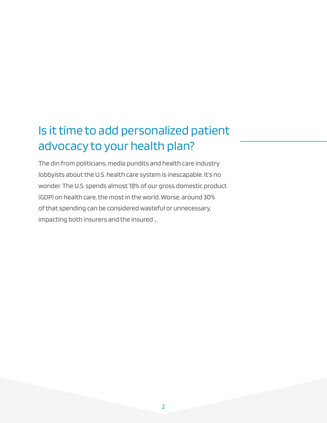## Is it time to add personalized patient advocacy to your health plan?

The din from politicians, media pundits and health care industry lobbyists about the U.S. health care system is inescapable. It's no wonder. The U.S. spends almost 18% of our gross domestic product (GDP) on health care, the most in the world. Worse, around 30% of that spending can be considered wasteful or unnecessary, impacting both insurers and the insured  $_1$ .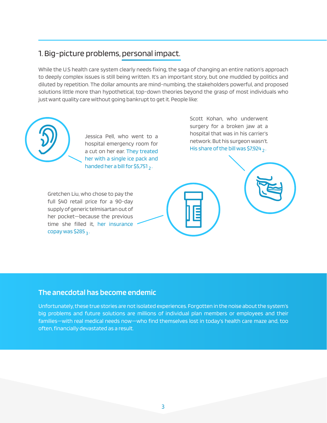## 1. Big-picture problems, personal impact.

While the U.S health care system clearly needs fixing, the saga of changing an entire nation's approach to deeply complex issues is still being written. It's an important story, but one muddied by politics and diluted by repetition. The dollar amounts are mind-numbing, the stakeholders powerful, and proposed solutions little more than hypothetical, top-down theories beyond the grasp of most individuals who just want quality care without going bankrupt to get it. People like:



Jessica Pell, who went to a hospital emergency room for a cut on her ear. They treated her with a single ice pack and handed her a bill for \$5,751 $_2$ .

Gretchen Liu, who chose to pay the full \$40 retail price for a 90-day supply of generic telmisartan out of her pocket—because the previous time she filled it, her insurance copay was \$285  $_3$ .

Scott Kohan, who underwent surgery for a broken jaw at a hospital that was in his carrier's network. But his surgeon wasn't. His share of the bill was \$7,924  $\overline{2}$ .



#### **The anecdotal has become endemic**

Unfortunately, these true stories are not isolated experiences. Forgotten in the noise about the system's big problems and future solutions are millions of individual plan members or employees and their families—with real medical needs now—who find themselves lost in today's health care maze and, too often, financially devastated as a result.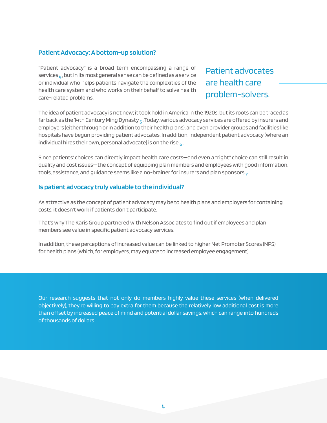#### **Patient Advocacy: A bottom-up solution?**

"Patient advocacy" is a broad term encompassing a range of services  $\mu$ , but in its most general sense can be defined as a service or individual who helps patients navigate the complexities of the health care system and who works on their behalf to solve health care-related problems.

Patient advocates are health care problem-solvers.

The idea of patient advocacy is not new; it took hold in America in the 1920s, but its roots can be traced as far back as the 14th Century Ming Dynasty  $_5$ . Today, various advocacy services are offered by insurers and employers (either through or in addition to their health plans), and even provider groups and facilities like hospitals have begun providing patient advocates. In addition, independent patient advocacy (where an individual hires their own, personal advocate) is on the rise  $_6$ .

Since patients' choices can directly impact health care costs—and even a "right" choice can still result in quality and cost issues—the concept of equipping plan members and employees with good information, tools, assistance, and guidance seems like a no-brainer for insurers and plan sponsors  $_7$ .

#### **Is patient advocacy truly valuable to the individual?**

As attractive as the concept of patient advocacy may be to health plans and employers for containing costs, it doesn't work if patients don't participate.

That's why The Karis Group partnered with Nelson Associates to find out if employees and plan members see value in specific patient advocacy services.

In addition, these perceptions of increased value can be linked to higher Net Promoter Scores (NPS) for health plans (which, for employers, may equate to increased employee engagement).

Our research suggests that not only do members highly value these services (when delivered objectively), they're willing to pay extra for them because the relatively low additional cost is more than offset by increased peace of mind and potential dollar savings, which can range into hundreds of thousands of dollars.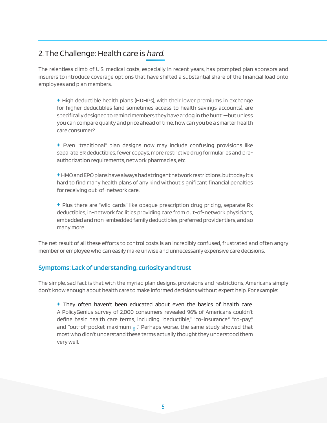## 2. The Challenge: Health care is hard.

The relentless climb of U.S. medical costs, especially in recent years, has prompted plan sponsors and insurers to introduce coverage options that have shifted a substantial share of the financial load onto employees and plan members.

**+** High deductible health plans (HDHPs), with their lower premiums in exchange for higher deductibles (and sometimes access to health savings accounts), are specifically designed to remind members they have a "dog in the hunt"—but unless you can compare quality and price ahead of time, how can you be a smarter health care consumer?

**+** Even "traditional" plan designs now may include confusing provisions like separate ER deductibles, fewer copays, more restrictive drug formularies and preauthorization requirements, network pharmacies, etc.

**+** HMO and EPO plans have always had stringent network restrictions, but today it's hard to find many health plans of any kind without significant financial penalties for receiving out-of-network care.

**+** Plus there are "wild cards" like opaque prescription drug pricing, separate Rx deductibles, in-network facilities providing care from out-of-network physicians, embedded and non-embedded family deductibles, preferred provider tiers, and so many more.

The net result of all these efforts to control costs is an incredibly confused, frustrated and often angry member or employee who can easily make unwise and unnecessarily expensive care decisions.

#### **Symptoms: Lack of understanding, curiosity and trust**

The simple, sad fact is that with the myriad plan designs, provisions and restrictions, Americans simply don't know enough about health care to make informed decisions without expert help. For example:

**+** They often haven't been educated about even the basics of health care. A PolicyGenius survey of 2,000 consumers revealed 96% of Americans couldn't define basic health care terms, including "deductible," "co-insurance," "co-pay," and "out-of-pocket maximum  $_8$  ." Perhaps worse, the same study showed that most who didn't understand these terms actually thought they understood them very well.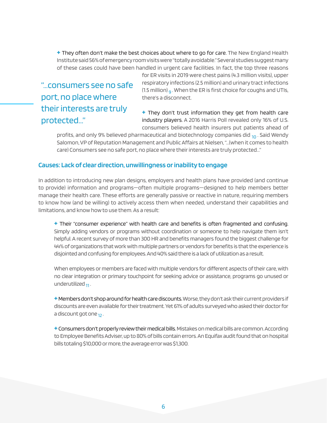**+** They often don't make the best choices about where to go for care. The New England Health Institute said 56% of emergency room visits were "totally avoidable." Several studies suggest many of these cases could have been handled in urgent care facilities. In fact, the top three reasons

"…consumers see no safe port, no place where their interests are truly protected..."

for ER visits in 2019 were chest pains (4.3 million visits), upper respiratory infections (2.5 million) and urinary tract infections (1.5 million)  $_{\rm q}$ . When the ER is first choice for coughs and UTIs, there's a disconnect.

**+** They don't trust information they get from health care industry players. A 2016 Harris Poll revealed only 16% of U.S. consumers believed health insurers put patients ahead of

profits, and only 9% believed pharmaceutical and biotechnology companies did  $_{10}$ . Said Wendy Salomon, VP of Reputation Management and Public Affairs at Nielsen, "…(when it comes to health care) Consumers see no safe port, no place where their interests are truly protected…"

#### **Causes: Lack of clear direction, unwillingness or inability to engage**

In addition to introducing new plan designs, employers and health plans have provided (and continue to provide) information and programs—often multiple programs—designed to help members better manage their health care. These efforts are generally passive or reactive in nature, requiring members to know how (and be willing) to actively access them when needed, understand their capabilities and limitations, and know how to use them. As a result:

**+** Their "consumer experience" with health care and benefits is often fragmented and confusing. Simply adding vendors or programs without coordination or someone to help navigate them isn't helpful. A recent survey of more than 300 HR and benefits managers found the biggest challenge for 44% of organizations that work with multiple partners or vendors for benefits is that the experience is disjointed and confusing for employees. And 40% said there is a lack of utilization as a result.

When employees or members are faced with multiple vendors for different aspects of their care, with no clear integration or primary touchpoint for seeking advice or assistance, programs go unused or underutilized  $11$ .

**+** Members don't shop around for health care discounts. Worse, they don't ask their current providers if discounts are even available for their treatment. Yet 61% of adults surveyed who asked their doctor for a discount got one  $12$ .

**+** Consumers don't properly review their medical bills. Mistakes on medical bills are common. According to Employee Benefits Adviser, up to 80% of bills contain errors. An Equifax audit found that on hospital bills totaling \$10,000 or more, the average error was \$1,300.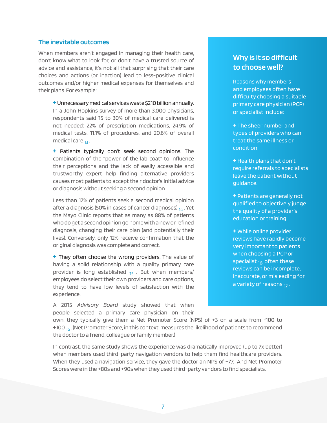#### **The inevitable outcomes**

When members aren't engaged in managing their health care, don't know what to look for, or don't have a trusted source of advice and assistance, it's not all that surprising that their care choices and actions (or inaction) lead to less-positive clinical outcomes and/or higher medical expenses for themselves and their plans. For example:

**+** Unnecessary medical services waste \$210 billion annually. In a John Hopkins survey of more than 3,000 physicians, respondents said 15 to 30% of medical care delivered is not needed: 22% of prescription medications, 24.9% of medical tests, 11.1% of procedures, and 20.6% of overall medical care  $_{13}$ .

**+** Patients typically don't seek second opinions. The combination of the "power of the lab coat" to influence their perceptions and the lack of easily accessible and trustworthy expert help finding alternative providers causes most patients to accept their doctor's initial advice or diagnosis without seeking a second opinion.

Less than 17% of patients seek a second medical opinion after a diagnosis (50% in cases of cancer diagnoses)  $_{14}$ . Yet the Mayo Clinic reports that as many as 88% of patients who do get a second opinion go home with a new or refined diagnosis, changing their care plan (and potentially their lives). Conversely, only 12% receive confirmation that the original diagnosis was complete and correct.

**+** They often choose the wrong providers. The value of having a solid relationship with a quality primary care provider is long established  $_{15}$ . But when members/ employees do select their own providers and care options, they tend to have low levels of satisfaction with the experience.

A 2015 Advisory Board study showed that when people selected a primary care physician on their

### **Why is it so difficult to choose well?**

Reasons why members and employees often have difficulty choosing a suitable primary care physician (PCP) or specialist include:

**+** The sheer number and types of providers who can treat the same illness or condition.

- **+**Health plans that don't require referrals to specialists leave the patient without guidance.
- **+** Patients are generally not qualified to objectively judge the quality of a provider's education or training.
- **+** While online provider reviews have rapidly become very important to patients when choosing a PCP or specialist  $_{16}$ , often these reviews can be incomplete, inaccurate, or misleading for a variety of reasons  $17$ .

own, they typically give them a Net Promoter Score (NPS) of +3 on a scale from -100 to +100  $_{16}$ . (Net Promoter Score, in this context, measures the likelihood of patients to recommend the doctor to a friend, colleague or family member.)

In contrast, the same study shows the experience was dramatically improved (up to 7x better) when members used third-party navigation vendors to help them find healthcare providers. When they used a navigation service, they gave the doctor an NPS of +77. And Net Promoter Scores were in the +80s and +90s when they used third-party vendors to find specialists.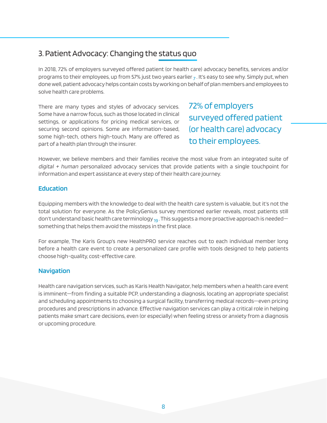## 3. Patient Advocacy: Changing the status quo

In 2018, 72% of employers surveyed offered patient (or health care) advocacy benefits, services and/or programs to their employees, up from 57% just two years earlier  $_7$ . It's easy to see why. Simply put, when done well, patient advocacy helps contain costs by working on behalf of plan members and employees to solve health care problems.

There are many types and styles of advocacy services. Some have a narrow focus, such as those located in clinical settings, or applications for pricing medical services, or securing second opinions. Some are information-based, some high-tech, others high-touch. Many are offered as part of a health plan through the insurer.

72% of employers surveyed offered patient (or health care) advocacy to their employees.

However, we believe members and their families receive the most value from an integrated suite of  $digital + human$  personalized advocacy services that provide patients with a single touchpoint for information and expert assistance at every step of their health care journey.

#### **Education**

Equipping members with the knowledge to deal with the health care system is valuable, but it's not the total solution for everyone. As the PolicyGenius survey mentioned earlier reveals, most patients still don't understand basic health care terminology  $_{19}$  . This suggests a more proactive approach is needed something that helps them avoid the missteps in the first place.

For example, The Karis Group's new HealthPRO service reaches out to each individual member long before a health care event to create a personalized care profile with tools designed to help patients choose high-quality, cost-effective care.

#### **Navigation**

Health care navigation services, such as Karis Health Navigator, help members when a health care event is imminent—from finding a suitable PCP, understanding a diagnosis, locating an appropriate specialist and scheduling appointments to choosing a surgical facility, transferring medical records—even pricing procedures and prescriptions in advance. Effective navigation services can play a critical role in helping patients make smart care decisions, even (or especially) when feeling stress or anxiety from a diagnosis or upcoming procedure.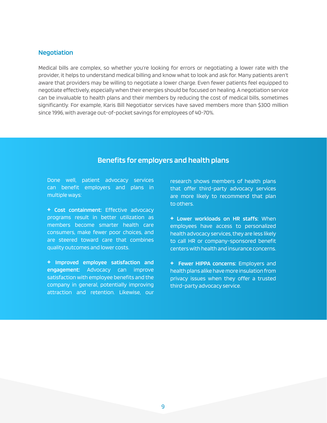#### **Negotiation**

Medical bills are complex, so whether you're looking for errors or negotiating a lower rate with the provider, it helps to understand medical billing and know what to look and ask for. Many patients aren't aware that providers may be willing to negotiate a lower charge. Even fewer patients feel equipped to negotiate effectively, especially when their energies should be focused on healing. A negotiation service can be invaluable to health plans and their members by reducing the cost of medical bills, sometimes significantly. For example, Karis Bill Negotiator services have saved members more than \$300 million since 1996, with average out-of-pocket savings for employees of 40-70%.

#### **Benefits for employers and health plans**

Done well, patient advocacy services can benefit employers and plans in multiple ways:

**+ Cost containment:** Effective advocacy programs result in better utilization as members become smarter health care consumers, make fewer poor choices, and are steered toward care that combines quality outcomes and lower costs.

**+ Improved employee satisfaction and engagement:** Advocacy can improve satisfaction with employee benefits and the company in general, potentially improving attraction and retention. Likewise, our research shows members of health plans that offer third-party advocacy services are more likely to recommend that plan to others.

**+ Lower workloads on HR staffs:** When employees have access to personalized health advocacy services, they are less likely to call HR or company-sponsored benefit centers with health and insurance concerns.

**+ Fewer HIPPA concerns:** Employers and health plans alike have more insulation from privacy issues when they offer a trusted third-party advocacy service.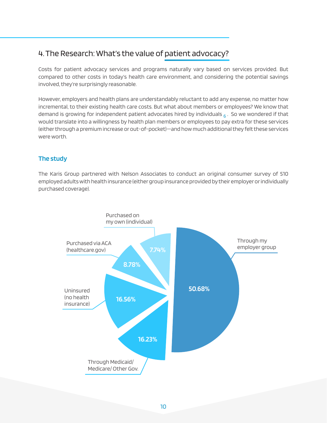## 4. The Research: What's the value of patient advocacy?

Costs for patient advocacy services and programs naturally vary based on services provided. But compared to other costs in today's health care environment, and considering the potential savings involved, they're surprisingly reasonable.

However, employers and health plans are understandably reluctant to add any expense, no matter how incremental, to their existing health care costs. But what about members or employees? We know that demand is growing for independent patient advocates hired by individuals  $6.5$  So we wondered if that would translate into a willingness by health plan members or employees to pay extra for these services (either through a premium increase or out-of-pocket)—and how much additional they felt these services were worth.

#### **The study**

The Karis Group partnered with Nelson Associates to conduct an original consumer survey of 510 employed adults with health insurance (either group insurance provided by their employer or individually purchased coverage).

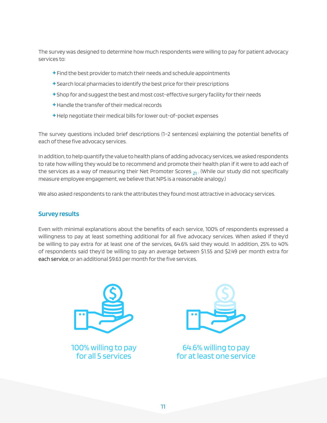The survey was designed to determine how much respondents were willing to pay for patient advocacy services to:

- **+** Find the best provider to match their needs and schedule appointments
- **+** Search local pharmacies to identify the best price for their prescriptions
- **+** Shop for and suggest the best and most cost-effective surgery facility for their needs
- **+** Handle the transfer of their medical records
- **+** Help negotiate their medical bills for lower out-of-pocket expenses

The survey questions included brief descriptions (1–2 sentences) explaining the potential benefits of each of these five advocacy services.

In addition, to help quantify the value to health plans of adding advocacy services, we asked respondents to rate how willing they would be to recommend and promote their health plan if it were to add each of the services as a way of measuring their Net Promoter Scores  $_{21}$ . (While our study did not specifically measure employee engagement, we believe that NPS is a reasonable analogy.)

We also asked respondents to rank the attributes they found most attractive in advocacy services.

#### **Survey results**

Even with minimal explanations about the benefits of each service, 100% of respondents expressed a willingness to pay at least something additional for all five advocacy services. When asked if they'd be willing to pay extra for at least one of the services, 64.6% said they would. In addition, 25% to 40% of respondents said they'd be willing to pay an average between \$1.55 and \$2.49 per month extra for each service, or an additional \$9.63 per month for the five services.



100% willing to pay for all 5 services



64.6% willing to pay for at least one service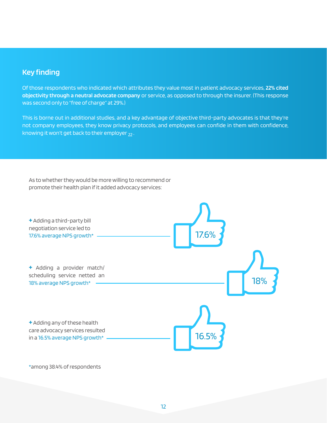#### **Key finding**

Of those respondents who indicated which attributes they value most in patient advocacy services, **22% cited objectivity through a neutral advocate company** or service, as opposed to through the insurer. (This response was second only to "free of charge" at 29%.)

This is borne out in additional studies, and a key advantage of objective third-party advocates is that they're not company employees, they know privacy protocols, and employees can confide in them with confidence, knowing it won't get back to their employer  $22$ .

As to whether they would be more willing to recommend or promote their health plan if it added advocacy services:



\*among 38.4% of respondents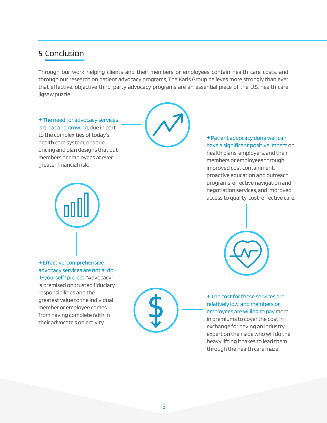## 5. Conclusion

Through our work helping clients and their members or employees contain health care costs, and through our research on patient advocacy programs, The Karis Group believes more strongly than ever that effective, objective third-party advocacy programs are an essential piece of the U.S. health care jigsaw puzzle.

**+** The need for advocacy services is great and growing, due in part to the complexities of today's health care system, opaque pricing and plan designs that put members or employees at ever greater financial risk.



**+** Effective, comprehensive advocacy services are not a "doit-yourself" project. "Advocacy" is premised on trusted fiduciary responsibilities and the greatest value to the individual member or employee comes from having complete faith in their advocate's objectivity.



**+** Patient advocacy done well can have a significant positive impact on health plans, employers, and their

members or employees through improved cost containment, proactive education and outreach programs, effective navigation and negotiation services, and improved access to quality, cost-effective care.



**+** The cost for these services are relatively low, and members or employees are willing to pay more in premiums to cover the cost in exchange for having an industry expert on their side who will do the heavy lifting it takes to lead them through the health care maze.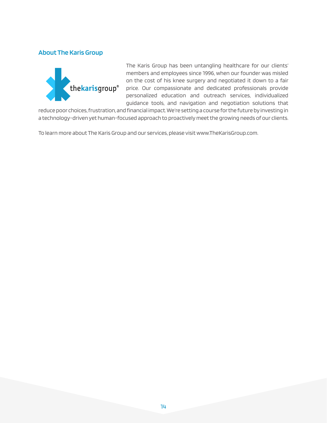#### **About The Karis Group**



The Karis Group has been untangling healthcare for our clients' members and employees since 1996, when our founder was misled on the cost of his knee surgery and negotiated it down to a fair price. Our compassionate and dedicated professionals provide personalized education and outreach services, individualized guidance tools, and navigation and negotiation solutions that

reduce poor choices, frustration, and financial impact. We're setting a course for the future by investing in a technology-driven yet human-focused approach to proactively meet the growing needs of our clients.

To learn more about The Karis Group and our services, please visit www.TheKarisGroup.com.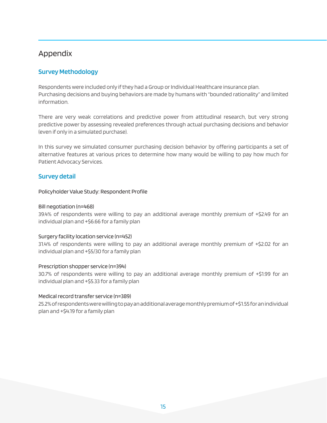## Appendix

#### **Survey Methodology**

Respondents were included only if they had a Group or Individual Healthcare insurance plan. Purchasing decisions and buying behaviors are made by humans with "bounded rationality" and limited information.

There are very weak correlations and predictive power from attitudinal research, but very strong predictive power by assessing revealed preferences through actual purchasing decisions and behavior (even if only in a simulated purchase).

In this survey we simulated consumer purchasing decision behavior by offering participants a set of alternative features at various prices to determine how many would be willing to pay how much for Patient Advocacy Services.

#### **Survey detail**

Policyholder Value Study: Respondent Profile

#### Bill negotiation (n=468)

39.4% of respondents were willing to pay an additional average monthly premium of +\$2.49 for an individual plan and +\$6.66 for a family plan

#### Surgery facility location service (n=452)

31.4% of respondents were willing to pay an additional average monthly premium of +\$2.02 for an individual plan and +\$5/30 for a family plan

#### Prescription shopper service (n=394)

30.7% of respondents were willing to pay an additional average monthly premium of +\$1.99 for an individual plan and +\$5.33 for a family plan

#### Medical record transfer service (n=389)

25.2% of respondents were willing to pay an additional average monthly premium of +\$1.55 for an individual plan and +\$4.19 for a family plan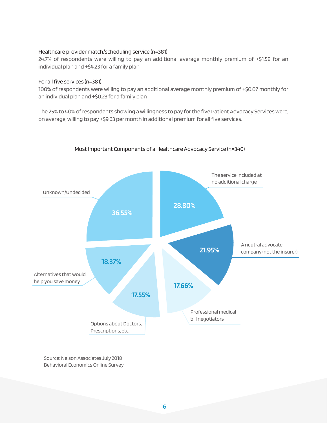#### Healthcare provider match/scheduling service (n=381)

24.7% of respondents were willing to pay an additional average monthly premium of +\$1.58 for an individual plan and +\$4.23 for a family plan

#### For all five services (n=381)

100% of respondents were willing to pay an additional average monthly premium of +\$0.07 monthly for an individual plan and +\$0.23 for a family plan

The 25% to 40% of respondents showing a willingness to pay for the five Patient Advocacy Services were, on average, willing to pay +\$9.63 per month in additional premium for all five services.



#### Most Important Components of a Healthcare Advocacy Service (n=340)

Source: Nelson Associates July 2018 Behavioral Economics Online Survey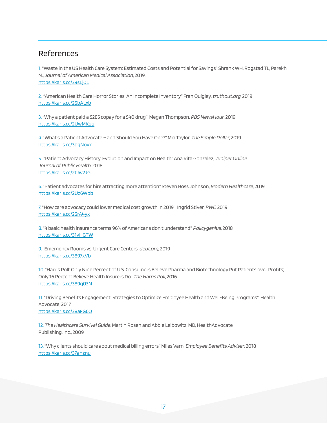## References

1. "Waste in the US Health Care System: Estimated Costs and Potential for Savings" Shrank WH, Rogstad TL, Parekh N., Journal of American Medical Association, 2019. https://karis.cc/39sLj0L

2. "American Health Care Horror Stories: An Incomplete Inventory" Fran Quigley, truthout.org, 2019 https://karis.cc/2SbALxb

3. "Why a patient paid a \$285 copay for a \$40 drug" Megan Thompson, PBS NewsHour, 2019 https://karis.cc/2UwMKqq

4. "What's a Patient Advocate – and Should You Have One?" Mia Taylor, The Simple Dollar, 2019 https://karis.cc/3bgNoyx

5. "Patient Advocacy History, Evolution and Impact on Health" Ana Rita Gonzalez, Juniper Online Journal of Public Health, 2018 https://karis.cc/2tJw2JG

6. "Patient advocates for hire attracting more attention" Steven Ross Johnson, Modern Healthcare, 2019 https://karis.cc/2Uz6Wbb

7. "How care advocacy could lower medical cost growth in 2019" Ingrid Stiver, PWC, 2019 https://karis.cc/2SrA4yx

8. "4 basic health insurance terms 96% of Americans don't understand" Policygenius, 2018 https://karis.cc/31yHGTW

9. "Emergency Rooms vs. Urgent Care Centers"debt.org, 2019 https://karis.cc/3897xVb

10. "Harris Poll: Only Nine Percent of U.S. Consumers Believe Pharma and Biotechnology Put Patients over Profits; Only 16 Percent Believe Health Insurers Do" The Harris Poll, 2016 https://karis.cc/389q03N

11. "Driving Benefits Engagement: Strategies to Optimize Employee Health and Well-Being Programs" Health Advocate, 2017 https://karis.cc/38aFG6O

12. The Healthcare Survival Guide. Martin Rosen and Abbie Leibowitz, MD, HealthAdvocate

Publishing, Inc., 2009

13. "Why clients should care about medical billing errors" Miles Varn, Employee Benefits Adviser, 2018 https://karis.cc/37ahznu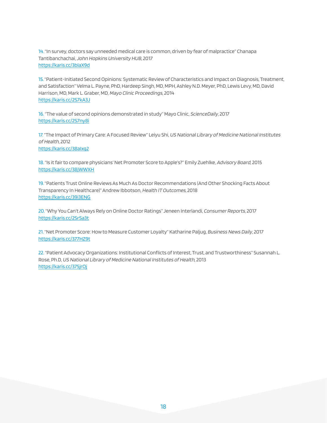14. "In survey, doctors say unneeded medical care is common, driven by fear of malpractice" Chanapa Tantibanchachai, John Hopkins University HUB, 2017 https://karis.cc/3blaX9d

15. "Patient-Initiated Second Opinions: Systematic Review of Characteristics and Impact on Diagnosis, Treatment, and Satisfaction" Velma L. Payne, PhD, Hardeep Singh, MD, MPH, Ashley N.D. Meyer, PhD, Lewis Levy, MD, David Harrison, MD, Mark L. Graber, MD, Mayo Clinic Proceedings, 2014 https://karis.cc/2S7kA3J

16. "The value of second opinions demonstrated in study" Mayo Clinic, ScienceDaily, 2017 https://karis.cc/2S7ny8i

17. "The Impact of Primary Care: A Focused Review" Leiyu Shi, US National Library of Medicine National Institutes of Health, 2012 https://karis.cc/38aIxg2

18. "Is it fair to compare physicians' Net Promoter Score to Apple's?" Emily Zuehlke, Advisory Board, 2015 https://karis.cc/38jWWXH

19. "Patients Trust Online Reviews As Much As Doctor Recommendations (And Other Shocking Facts About Transparency In Healthcare)" Andrew Ibbotson, Health IT Outcomes, 2018 https://karis.cc/39i3ENG

20. "Why You Can't Always Rely on Online Doctor Ratings" Jeneen Interlandi, Consumer Reports, 2017 https://karis.cc/2SrSa3t

21. "Net Promoter Score: How to Measure Customer Loyalty" Katharine Paljug, Business News Daily, 2017 https://karis.cc/377HZ9t

22. "Patient Advocacy Organizations: Institutional Conflicts of Interest, Trust, and Trustworthiness" Susannah L. Rose, Ph.D, US National Library of Medicine National Institutes of Health, 2013 https://karis.cc/375jrOj